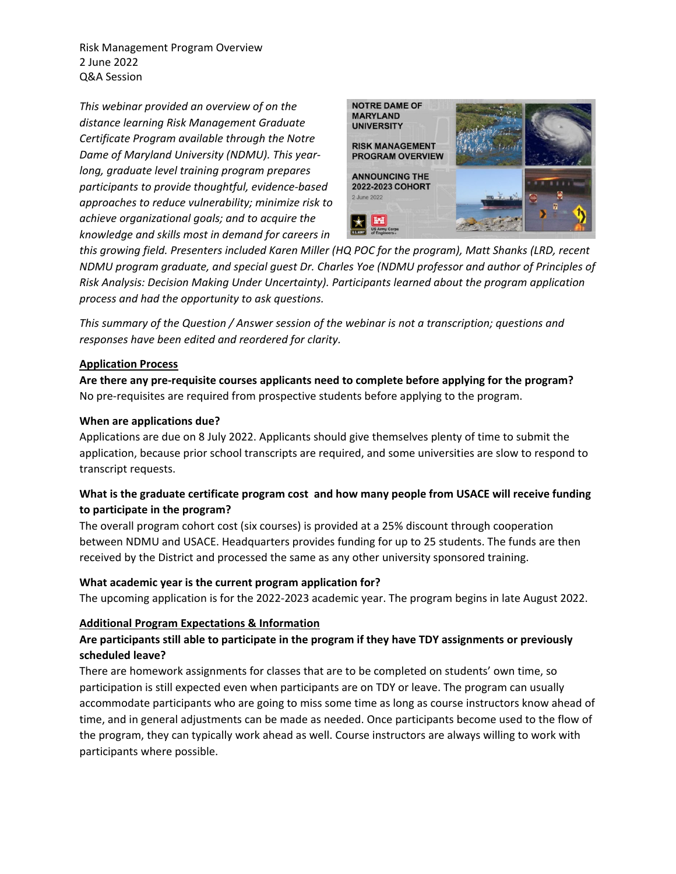Risk Management Program Overview 2 June 2022 Q&A Session

*This webinar provided an overview of on the distance learning Risk Management Graduate Certificate Program available through the Notre Dame of Maryland University (NDMU). This yearlong, graduate level training program prepares participants to provide thoughtful, evidence-based approaches to reduce vulnerability; minimize risk to achieve organizational goals; and to acquire the knowledge and skills most in demand for careers in* 



*this growing field. Presenters included Karen Miller (HQ POC for the program), Matt Shanks (LRD, recent NDMU program graduate, and special guest Dr. Charles Yoe (NDMU professor and author of Principles of Risk Analysis: Decision Making Under Uncertainty). Participants learned about the program application process and had the opportunity to ask questions.*

*This summary of the Question / Answer session of the webinar is not a transcription; questions and responses have been edited and reordered for clarity.*

### **Application Process**

**Are there any pre-requisite courses applicants need to complete before applying for the program?** No pre-requisites are required from prospective students before applying to the program.

#### **When are applications due?**

Applications are due on 8 July 2022. Applicants should give themselves plenty of time to submit the application, because prior school transcripts are required, and some universities are slow to respond to transcript requests.

# **What is the graduate certificate program cost and how many people from USACE will receive funding to participate in the program?**

The overall program cohort cost (six courses) is provided at a 25% discount through cooperation between NDMU and USACE. Headquarters provides funding for up to 25 students. The funds are then received by the District and processed the same as any other university sponsored training.

## **What academic year is the current program application for?**

The upcoming application is for the 2022-2023 academic year. The program begins in late August 2022.

#### **Additional Program Expectations & Information**

## **Are participants still able to participate in the program if they have TDY assignments or previously scheduled leave?**

There are homework assignments for classes that are to be completed on students' own time, so participation is still expected even when participants are on TDY or leave. The program can usually accommodate participants who are going to miss some time as long as course instructors know ahead of time, and in general adjustments can be made as needed. Once participants become used to the flow of the program, they can typically work ahead as well. Course instructors are always willing to work with participants where possible.